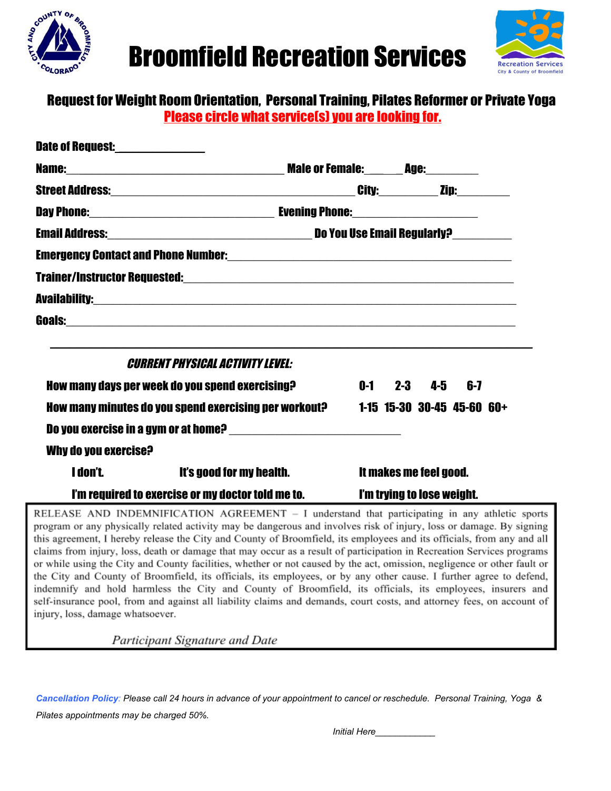



#### Request for Weight Room Orientation, Personal Training, Pilates Reformer or Private Yoga Please circle what service(s) you are looking for.

| Date of Request:_______________                                                  |                                                                                                                             |                        |                         |  |
|----------------------------------------------------------------------------------|-----------------------------------------------------------------------------------------------------------------------------|------------------------|-------------------------|--|
|                                                                                  |                                                                                                                             |                        |                         |  |
|                                                                                  |                                                                                                                             |                        |                         |  |
|                                                                                  |                                                                                                                             |                        |                         |  |
|                                                                                  |                                                                                                                             |                        |                         |  |
|                                                                                  |                                                                                                                             |                        |                         |  |
|                                                                                  |                                                                                                                             |                        |                         |  |
|                                                                                  |                                                                                                                             |                        |                         |  |
|                                                                                  |                                                                                                                             |                        |                         |  |
|                                                                                  | ,我们也不会有什么。""我们的人,我们也不会有什么?""我们的人,我们也不会有什么?""我们的人,我们也不会有什么?""我们的人,我们也不会有什么?""我们的人<br><b>CURRENT PHYSICAL ACTIVITY LEVEL:</b> |                        |                         |  |
| How many days per week do you spend exercising?                                  |                                                                                                                             |                        | $0-1$ $2-3$ $4-5$ $6-7$ |  |
| How many minutes do you spend exercising per workout? 1-15 15-30 30-45 45-60 60+ |                                                                                                                             |                        |                         |  |
|                                                                                  | Do you exercise in a gym or at home? ________________________________                                                       |                        |                         |  |
| Why do you exercise?                                                             |                                                                                                                             |                        |                         |  |
|                                                                                  | <b>I don't. It's good for my health.</b>                                                                                    | It makes me feel good. |                         |  |
| I'm required to exercise or my doctor told me to. I'm trying to lose weight.     |                                                                                                                             |                        |                         |  |
|                                                                                  | RELEASE AND INDEMNIFICATION AGREEMENT - I understand that participating in any athletic spor                                |                        |                         |  |

rts program or any physically related activity may be dangerous and involves risk of injury, loss or damage. By signing this agreement, I hereby release the City and County of Broomfield, its employees and its officials, from any and all claims from injury, loss, death or damage that may occur as a result of participation in Recreation Services programs or while using the City and County facilities, whether or not caused by the act, omission, negligence or other fault or the City and County of Broomfield, its officials, its employees, or by any other cause. I further agree to defend, indemnify and hold harmless the City and County of Broomfield, its officials, its employees, insurers and self-insurance pool, from and against all liability claims and demands, court costs, and attorney fees, on account of injury, loss, damage whatsoever.

Participant Signature and Date

 *Cancellation Policy: Please call 24 hours in advance of your appointment to cancel or reschedule. Personal Training, Yoga & Pilates appointments may be charged 50%.*

 *Initial Here\_\_\_\_\_\_\_\_\_\_\_\_*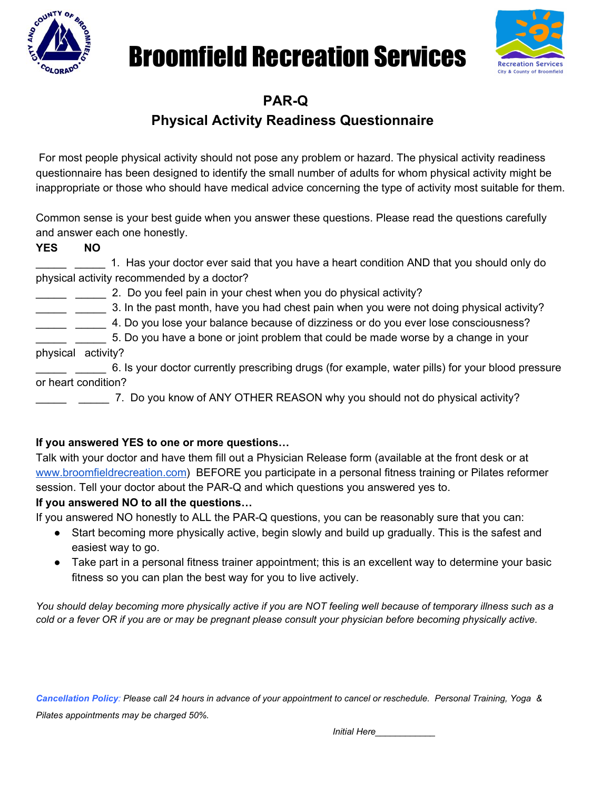

# Broomfield Recreation Services



**PAR-Q**

### **Physical Activity Readiness Questionnaire**

 For most people physical activity should not pose any problem or hazard. The physical activity readiness questionnaire has been designed to identify the small number of adults for whom physical activity might be inappropriate or those who should have medical advice concerning the type of activity most suitable for them.

Common sense is your best guide when you answer these questions. Please read the questions carefully and answer each one honestly.

**YES NO**

\_\_\_\_\_ \_\_\_\_\_ 1. Has your doctor ever said that you have a heart condition AND that you should only do physical activity recommended by a doctor?

\_ \_\_\_\_ 2. Do you feel pain in your chest when you do physical activity?

\_\_\_\_\_ \_\_\_\_\_ 3. In the past month, have you had chest pain when you were not doing physical activity?

\_\_\_\_\_ \_\_\_\_\_ 4. Do you lose your balance because of dizziness or do you ever lose consciousness?

\_\_\_\_\_ \_\_\_\_\_ 5. Do you have a bone or joint problem that could be made worse by a change in your physical activity?

\_ \_\_\_\_\_ 6. Is your doctor currently prescribing drugs (for example, water pills) for your blood pressure or heart condition?

\_\_\_\_\_ \_\_\_\_\_ 7. Do you know of ANY OTHER REASON why you should not do physical activity?

#### **If you answered YES to one or more questions…**

Talk with your doctor and have them fill out a Physician Release form (available at the front desk or at [www.broomfieldrecreation.com\)](http://www.broomfieldrecreation.com/) BEFORE you participate in a personal fitness training or Pilates reformer session. Tell your doctor about the PAR-Q and which questions you answered yes to.

#### **If you answered NO to all the questions…**

If you answered NO honestly to ALL the PAR-Q questions, you can be reasonably sure that you can:

- Start becoming more physically active, begin slowly and build up gradually. This is the safest and easiest way to go.
- Take part in a personal fitness trainer appointment; this is an excellent way to determine your basic fitness so you can plan the best way for you to live actively.

*You should delay becoming more physically active if you are NOT feeling well because of temporary illness such as a cold or a fever OR if you are or may be pregnant please consult your physician before becoming physically active.*

 *Cancellation Policy: Please call 24 hours in advance of your appointment to cancel or reschedule. Personal Training, Yoga & Pilates appointments may be charged 50%.*

 *Initial Here\_\_\_\_\_\_\_\_\_\_\_\_*